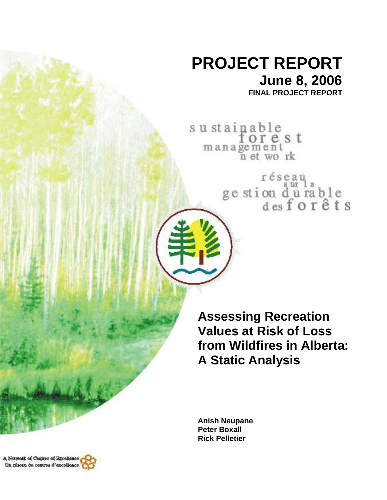# **PROJECT REPORT June 8, 2006 FINAL PROJECT REPORT**

sustainable<br>for e s t management<br>n et work

réseau<br>ge stion d'urable<br>des forêts

**Assessing Recreation Values at Risk of Loss from Wildfires in Alberta: A Static Analysis** 

**Anish Neupane Peter Boxall Rick Pelletier** 

A Network of Cantres of Rzeelisnee, Un réseau de centres d'excellence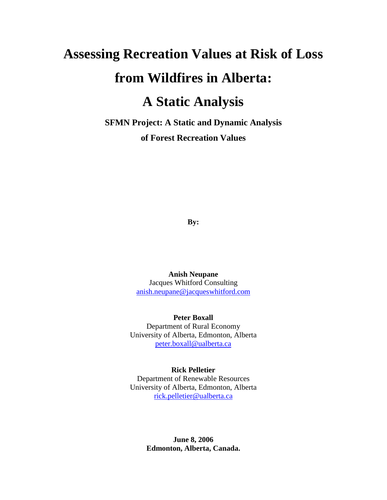# **Assessing Recreation Values at Risk of Loss from Wildfires in Alberta: A Static Analysis**

**SFMN Project: A Static and Dynamic Analysis of Forest Recreation Values** 

**By:** 

**Anish Neupane**  Jacques Whitford Consulting anish.neupane@jacqueswhitford.com

**Peter Boxall**  Department of Rural Economy University of Alberta, Edmonton, Alberta peter.boxall@ualberta.ca

#### **Rick Pelletier**

Department of Renewable Resources University of Alberta, Edmonton, Alberta rick.pelletier@ualberta.ca

> **June 8, 2006 Edmonton, Alberta, Canada.**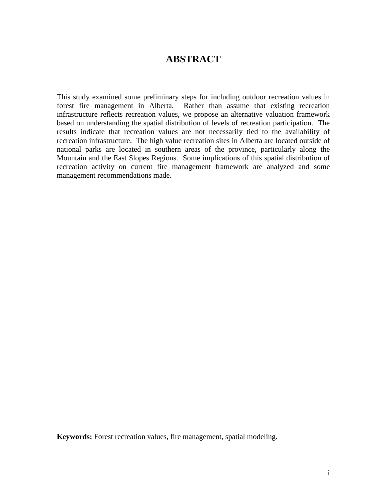#### **ABSTRACT**

This study examined some preliminary steps for including outdoor recreation values in forest fire management in Alberta. Rather than assume that existing recreation infrastructure reflects recreation values, we propose an alternative valuation framework based on understanding the spatial distribution of levels of recreation participation. The results indicate that recreation values are not necessarily tied to the availability of recreation infrastructure. The high value recreation sites in Alberta are located outside of national parks are located in southern areas of the province, particularly along the Mountain and the East Slopes Regions. Some implications of this spatial distribution of recreation activity on current fire management framework are analyzed and some management recommendations made.

**Keywords:** Forest recreation values, fire management, spatial modeling.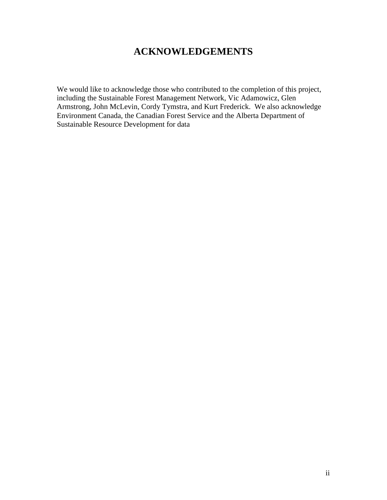### **ACKNOWLEDGEMENTS**

We would like to acknowledge those who contributed to the completion of this project, including the Sustainable Forest Management Network, Vic Adamowicz, Glen Armstrong, John McLevin, Cordy Tymstra, and Kurt Frederick. We also acknowledge Environment Canada, the Canadian Forest Service and the Alberta Department of Sustainable Resource Development for data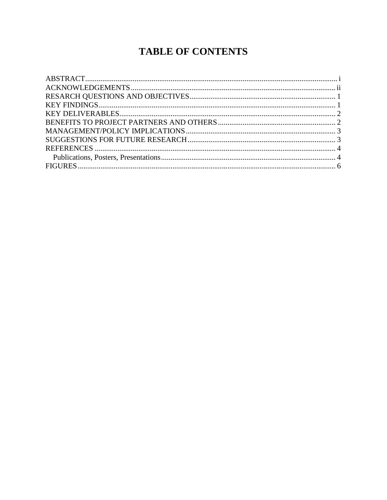## **TABLE OF CONTENTS**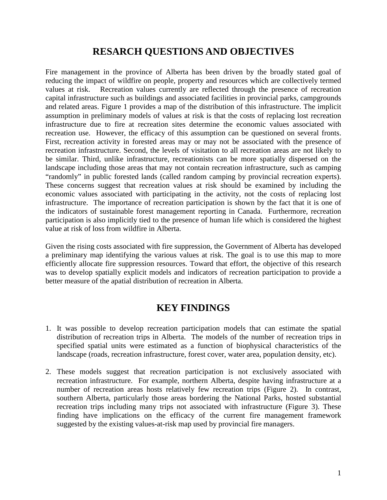### **RESARCH QUESTIONS AND OBJECTIVES**

Fire management in the province of Alberta has been driven by the broadly stated goal of reducing the impact of wildfire on people, property and resources which are collectively termed values at risk. Recreation values currently are reflected through the presence of recreation capital infrastructure such as buildings and associated facilities in provincial parks, campgrounds and related areas. Figure 1 provides a map of the distribution of this infrastructure. The implicit assumption in preliminary models of values at risk is that the costs of replacing lost recreation infrastructure due to fire at recreation sites determine the economic values associated with recreation use. However, the efficacy of this assumption can be questioned on several fronts. First, recreation activity in forested areas may or may not be associated with the presence of recreation infrastructure. Second, the levels of visitation to all recreation areas are not likely to be similar. Third, unlike infrastructure, recreationists can be more spatially dispersed on the landscape including those areas that may not contain recreation infrastructure, such as camping "randomly" in public forested lands (called random camping by provincial recreation experts). These concerns suggest that recreation values at risk should be examined by including the economic values associated with participating in the activity, not the costs of replacing lost infrastructure. The importance of recreation participation is shown by the fact that it is one of the indicators of sustainable forest management reporting in Canada. Furthermore, recreation participation is also implicitly tied to the presence of human life which is considered the highest value at risk of loss from wildfire in Alberta.

Given the rising costs associated with fire suppression, the Government of Alberta has developed a preliminary map identifying the various values at risk. The goal is to use this map to more efficiently allocate fire suppression resources. Toward that effort, the objective of this research was to develop spatially explicit models and indicators of recreation participation to provide a better measure of the apatial distribution of recreation in Alberta.

#### **KEY FINDINGS**

- 1. It was possible to develop recreation participation models that can estimate the spatial distribution of recreation trips in Alberta. The models of the number of recreation trips in specified spatial units were estimated as a function of biophysical characteristics of the landscape (roads, recreation infrastructure, forest cover, water area, population density, etc).
- 2. These models suggest that recreation participation is not exclusively associated with recreation infrastructure. For example, northern Alberta, despite having infrastructure at a number of recreation areas hosts relatively few recreation trips (Figure 2). In contrast, southern Alberta, particularly those areas bordering the National Parks, hosted substantial recreation trips including many trips not associated with infrastructure (Figure 3). These finding have implications on the efficacy of the current fire management framework suggested by the existing values-at-risk map used by provincial fire managers.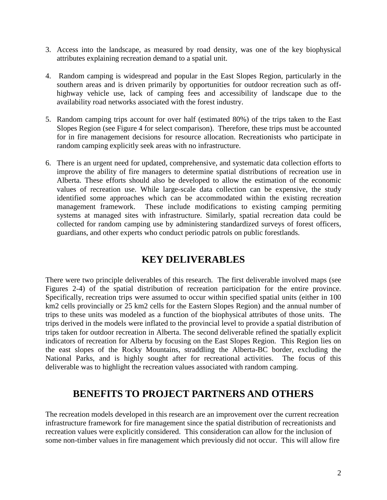- 3. Access into the landscape, as measured by road density, was one of the key biophysical attributes explaining recreation demand to a spatial unit.
- 4. Random camping is widespread and popular in the East Slopes Region, particularly in the southern areas and is driven primarily by opportunities for outdoor recreation such as offhighway vehicle use, lack of camping fees and accessibility of landscape due to the availability road networks associated with the forest industry.
- 5. Random camping trips account for over half (estimated 80%) of the trips taken to the East Slopes Region (see Figure 4 for select comparison). Therefore, these trips must be accounted for in fire management decisions for resource allocation. Recreationists who participate in random camping explicitly seek areas with no infrastructure.
- 6. There is an urgent need for updated, comprehensive, and systematic data collection efforts to improve the ability of fire managers to determine spatial distributions of recreation use in Alberta. These efforts should also be developed to allow the estimation of the economic values of recreation use. While large-scale data collection can be expensive, the study identified some approaches which can be accommodated within the existing recreation management framework. These include modifications to existing camping permiting systems at managed sites with infrastructure. Similarly, spatial recreation data could be collected for random camping use by administering standardized surveys of forest officers, guardians, and other experts who conduct periodic patrols on public forestlands.

### **KEY DELIVERABLES**

There were two principle deliverables of this research. The first deliverable involved maps (see Figures 2-4) of the spatial distribution of recreation participation for the entire province. Specifically, recreation trips were assumed to occur within specified spatial units (either in 100 km2 cells provincially or 25 km2 cells for the Eastern Slopes Region) and the annual number of trips to these units was modeled as a function of the biophysical attributes of those units. The trips derived in the models were inflated to the provincial level to provide a spatial distribution of trips taken for outdoor recreation in Alberta. The second deliverable refined the spatially explicit indicators of recreation for Alberta by focusing on the East Slopes Region. This Region lies on the east slopes of the Rocky Mountains, straddling the Alberta-BC border, excluding the National Parks, and is highly sought after for recreational activities. The focus of this deliverable was to highlight the recreation values associated with random camping.

### **BENEFITS TO PROJECT PARTNERS AND OTHERS**

The recreation models developed in this research are an improvement over the current recreation infrastructure framework for fire management since the spatial distribution of recreationists and recreation values were explicitly considered. This consideration can allow for the inclusion of some non-timber values in fire management which previously did not occur. This will allow fire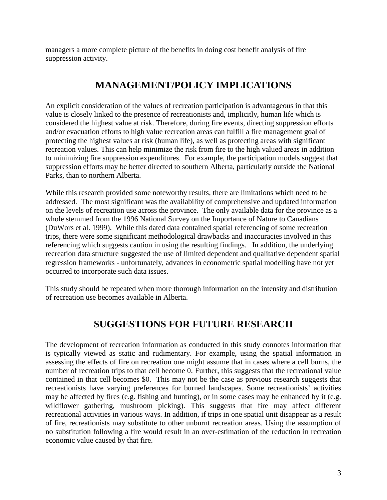managers a more complete picture of the benefits in doing cost benefit analysis of fire suppression activity.

### **MANAGEMENT/POLICY IMPLICATIONS**

An explicit consideration of the values of recreation participation is advantageous in that this value is closely linked to the presence of recreationists and, implicitly, human life which is considered the highest value at risk. Therefore, during fire events, directing suppression efforts and/or evacuation efforts to high value recreation areas can fulfill a fire management goal of protecting the highest values at risk (human life), as well as protecting areas with significant recreation values. This can help minimize the risk from fire to the high valued areas in addition to minimizing fire suppression expenditures. For example, the participation models suggest that suppression efforts may be better directed to southern Alberta, particularly outside the National Parks, than to northern Alberta.

While this research provided some noteworthy results, there are limitations which need to be addressed. The most significant was the availability of comprehensive and updated information on the levels of recreation use across the province. The only available data for the province as a whole stemmed from the 1996 National Survey on the Importance of Nature to Canadians (DuWors et al. 1999). While this dated data contained spatial referencing of some recreation trips, there were some significant methodological drawbacks and inaccuracies involved in this referencing which suggests caution in using the resulting findings. In addition, the underlying recreation data structure suggested the use of limited dependent and qualitative dependent spatial regression frameworks - unfortunately, advances in econometric spatial modelling have not yet occurred to incorporate such data issues.

This study should be repeated when more thorough information on the intensity and distribution of recreation use becomes available in Alberta.

### **SUGGESTIONS FOR FUTURE RESEARCH**

The development of recreation information as conducted in this study connotes information that is typically viewed as static and rudimentary. For example, using the spatial information in assessing the effects of fire on recreation one might assume that in cases where a cell burns, the number of recreation trips to that cell become 0. Further, this suggests that the recreational value contained in that cell becomes \$0. This may not be the case as previous research suggests that recreationists have varying preferences for burned landscapes. Some recreationists' activities may be affected by fires (e.g. fishing and hunting), or in some cases may be enhanced by it (e.g. wildflower gathering, mushroom picking). This suggests that fire may affect different recreational activities in various ways. In addition, if trips in one spatial unit disappear as a result of fire, recreationists may substitute to other unburnt recreation areas. Using the assumption of no substitution following a fire would result in an over-estimation of the reduction in recreation economic value caused by that fire.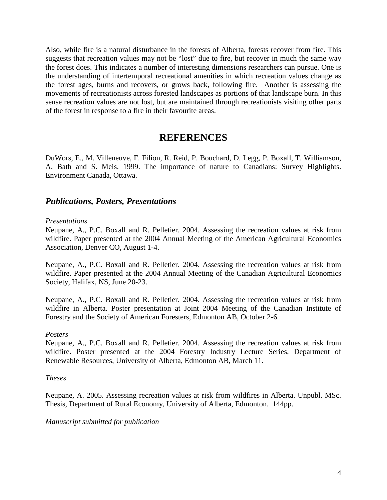Also, while fire is a natural disturbance in the forests of Alberta, forests recover from fire. This suggests that recreation values may not be "lost" due to fire, but recover in much the same way the forest does. This indicates a number of interesting dimensions researchers can pursue. One is the understanding of intertemporal recreational amenities in which recreation values change as the forest ages, burns and recovers, or grows back, following fire. Another is assessing the movements of recreationists across forested landscapes as portions of that landscape burn. In this sense recreation values are not lost, but are maintained through recreationists visiting other parts of the forest in response to a fire in their favourite areas.

#### **REFERENCES**

DuWors, E., M. Villeneuve, F. Filion, R. Reid, P. Bouchard, D. Legg, P. Boxall, T. Williamson, A. Bath and S. Meis. 1999. The importance of nature to Canadians: Survey Highlights. Environment Canada, Ottawa.

#### *Publications, Posters, Presentations*

#### *Presentations*

Neupane, A., P.C. Boxall and R. Pelletier. 2004. Assessing the recreation values at risk from wildfire. Paper presented at the 2004 Annual Meeting of the American Agricultural Economics Association, Denver CO, August 1-4.

Neupane, A., P.C. Boxall and R. Pelletier. 2004. Assessing the recreation values at risk from wildfire. Paper presented at the 2004 Annual Meeting of the Canadian Agricultural Economics Society, Halifax, NS, June 20-23.

Neupane, A., P.C. Boxall and R. Pelletier. 2004. Assessing the recreation values at risk from wildfire in Alberta. Poster presentation at Joint 2004 Meeting of the Canadian Institute of Forestry and the Society of American Foresters, Edmonton AB, October 2-6.

#### *Posters*

Neupane, A., P.C. Boxall and R. Pelletier. 2004. Assessing the recreation values at risk from wildfire. Poster presented at the 2004 Forestry Industry Lecture Series, Department of Renewable Resources, University of Alberta, Edmonton AB, March 11.

#### *Theses*

Neupane, A. 2005. Assessing recreation values at risk from wildfires in Alberta. Unpubl. MSc. Thesis, Department of Rural Economy, University of Alberta, Edmonton. 144pp.

#### *Manuscript submitted for publication*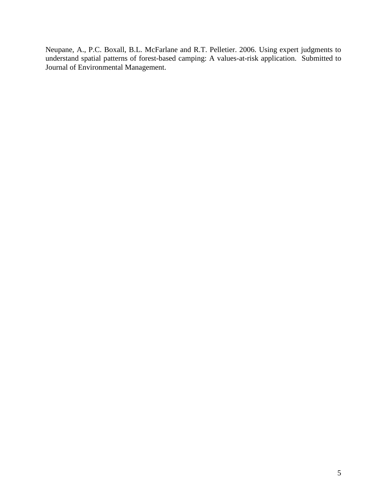Neupane, A., P.C. Boxall, B.L. McFarlane and R.T. Pelletier. 2006. Using expert judgments to understand spatial patterns of forest-based camping: A values-at-risk application. Submitted to Journal of Environmental Management.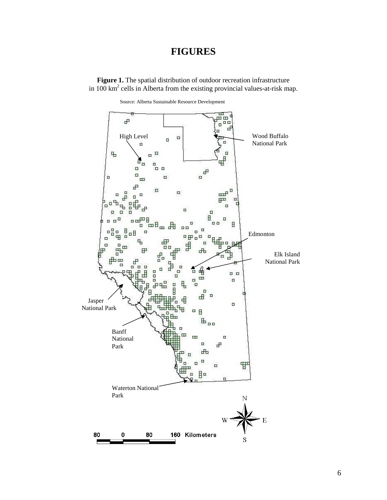#### **FIGURES**

Figure 1. The spatial distribution of outdoor recreation infrastructure in 100  $\text{km}^2$  cells in Alberta from the existing provincial values-at-risk map.

Source: Alberta Sustainable Resource Development

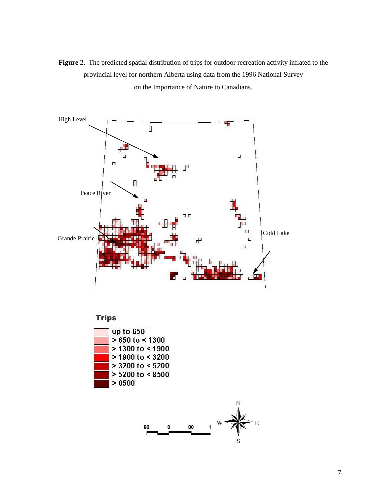

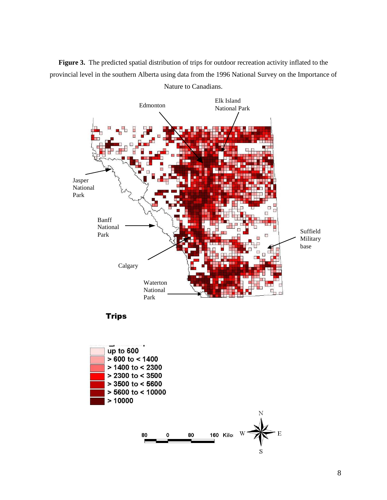**Figure 3.** The predicted spatial distribution of trips for outdoor recreation activity inflated to the provincial level in the southern Alberta using data from the 1996 National Survey on the Importance of



Nature to Canadians.